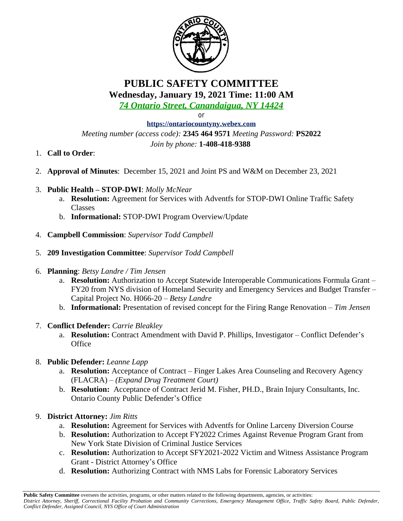

# **PUBLIC SAFETY COMMITTEE Wednesday, January 19, 2021 Time: 11:00 AM**

*74 Ontario Street, Canandaigua, NY 14424*

or

**<https://ontariocountyny.webex.com>** *Meeting number (access code):* **2345 464 9571** *Meeting Password:* **PS2022** *Join by phone:* **1-408-418-9388** 

- 1. **Call to Order**:
- 2. **Approval of Minutes**: December 15, 2021 and Joint PS and W&M on December 23, 2021
- 3. **Public Health – STOP-DWI**: *Molly McNear*
	- a. **Resolution:** Agreement for Services with Adventfs for STOP-DWI Online Traffic Safety Classes
	- b. **Informational:** STOP-DWI Program Overview/Update
- 4. **Campbell Commission**: *Supervisor Todd Campbell*
- 5. **209 Investigation Committee**: *Supervisor Todd Campbell*
- 6. **Planning**: *Betsy Landre / Tim Jensen*
	- a. **Resolution:** Authorization to Accept Statewide Interoperable Communications Formula Grant FY20 from NYS division of Homeland Security and Emergency Services and Budget Transfer – Capital Project No. H066-20 – *Betsy Landre*
	- b. **Informational:** Presentation of revised concept for the Firing Range Renovation – *Tim Jensen*
- 7. **Conflict Defender:** *Carrie Bleakley*
	- a. **Resolution:** Contract Amendment with David P. Phillips, Investigator Conflict Defender's **Office**
- 8. **Public Defender:** *Leanne Lapp*
	- a. **Resolution:** Acceptance of Contract Finger Lakes Area Counseling and Recovery Agency (FLACRA) – *(Expand Drug Treatment Court)*
	- b. **Resolution:** Acceptance of Contract Jerid M. Fisher, PH.D., Brain Injury Consultants, Inc. Ontario County Public Defender's Office
- 9. **District Attorney:** *Jim Ritts*
	- a. **Resolution:** Agreement for Services with Adventfs for Online Larceny Diversion Course
	- b. **Resolution:** Authorization to Accept FY2022 Crimes Against Revenue Program Grant from New York State Division of Criminal Justice Services
	- c. **Resolution:** Authorization to Accept SFY2021-2022 Victim and Witness Assistance Program Grant - District Attorney's Office
	- d. **Resolution:** Authorizing Contract with NMS Labs for Forensic Laboratory Services